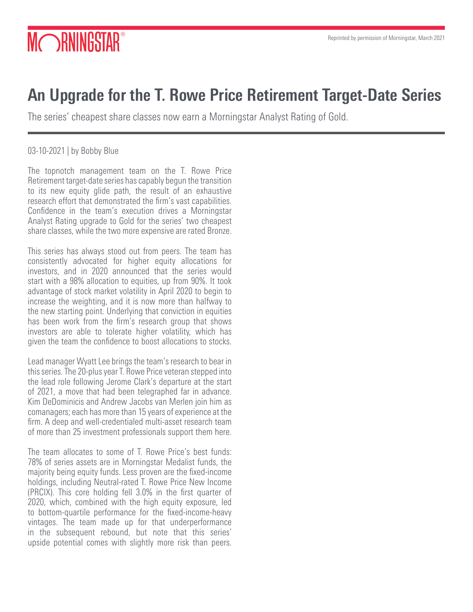# MORNINGSTAR

# An Upgrade for the T. Rowe Price Retirement Target-Date Series

The series' cheapest share classes now earn a Morningstar Analyst Rating of Gold.

03-10-2021 | by Bobby Blue

The topnotch management team on the T. Rowe Price Retirement target-date series has capably begun the transition to its new equity glide path, the result of an exhaustive research effort that demonstrated the firm's vast capabilities. Confidence in the team's execution drives a Morningstar Analyst Rating upgrade to Gold for the series' two cheapest share classes, while the two more expensive are rated Bronze.

This series has always stood out from peers. The team has consistently advocated for higher equity allocations for investors, and in 2020 announced that the series would start with a 98% allocation to equities, up from 90%. It took advantage of stock market volatility in April 2020 to begin to increase the weighting, and it is now more than halfway to the new starting point. Underlying that conviction in equities has been work from the firm's research group that shows investors are able to tolerate higher volatility, which has given the team the confidence to boost allocations to stocks.

Lead manager Wyatt Lee brings the team's research to bear in this series. The 20-plus year T. Rowe Price veteran stepped into the lead role following Jerome Clark's departure at the start of 2021, a move that had been telegraphed far in advance. Kim DeDominicis and Andrew Jacobs van Merlen join him as comanagers; each has more than 15 years of experience at the firm. A deep and well-credentialed multi-asset research team of more than 25 investment professionals support them here.

The team allocates to some of T. Rowe Price's best funds: 78% of series assets are in Morningstar Medalist funds, the majority being equity funds. Less proven are the fixed-income holdings, including Neutral-rated T. Rowe Price New Income (PRCIX). This core holding fell 3.0% in the first quarter of 2020, which, combined with the high equity exposure, led to bottom-quartile performance for the fixed-income-heavy vintages. The team made up for that underperformance in the subsequent rebound, but note that this series' upside potential comes with slightly more risk than peers.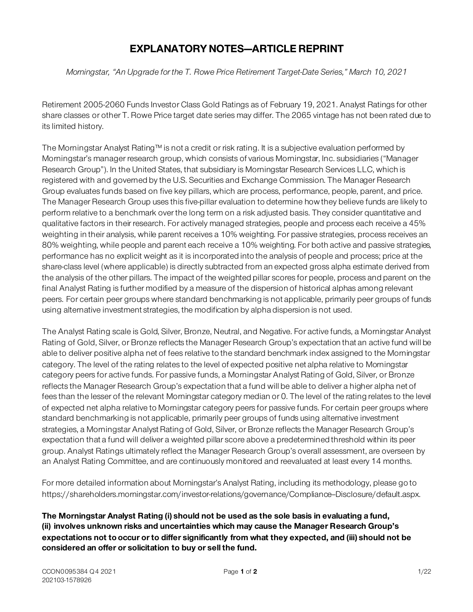## **EXPLANATORY NOTES—ARTICLE REPRINT**

*Morningstar, "An Upgrade for the T. Rowe Price Retirement Target-Date Series," March 10, 2021*

Retirement 2005-2060 Funds Investor Class Gold Ratings as of February 19, 2021. Analyst Ratings for other share classes or other T. Rowe Price target date series may differ. The 2065 vintage has not been rated due to its limited history.

The Morningstar Analyst Rating™ is not a credit or risk rating. It is a subjective evaluation performed by Morningstar's manager research group, which consists of various Morningstar, Inc. subsidiaries ("Manager Research Group"). In the United States, that subsidiary is Morningstar Research Services LLC, which is registered with and governed by the U.S. Securities and Exchange Commission. The Manager Research Group evaluates funds based on five key pillars, which are process, performance, people, parent, and price. The Manager Research Group uses this five-pillar evaluation to determine how they believe funds are likely to perform relative to a benchmark over the long term on a risk adjusted basis. They consider quantitative and qualitative factors in their research. For actively managed strategies, people and process each receive a 45% weighting in their analysis, while parent receives a 10% weighting. For passive strategies, process receives an 80% weighting, while people and parent each receive a 10% weighting. For both active and passive strategies, performance has no explicit weight as it is incorporated into the analysis of people and process; price at the share-class level (where applicable) is directly subtracted from an expected gross alpha estimate derived from the analysis of the other pillars. The impact of the weighted pillar scores for people, process and parent on the final Analyst Rating is further modified by a measure of the dispersion of historical alphas among relevant peers. For certain peer groups where standard benchmarking is not applicable, primarily peer groups of funds using alternative investment strategies, the modification by alpha dispersion is not used.

The Analyst Rating scale is Gold, Silver, Bronze, Neutral, and Negative. For active funds, a Morningstar Analyst Rating of Gold, Silver, or Bronze reflects the Manager Research Group's expectation that an active fund will be able to deliver positive alpha net of fees relative to the standard benchmark index assigned to the Morningstar category. The level of the rating relates to the level of expected positive net alpha relative to Morningstar category peers for active funds. For passive funds, a Morningstar Analyst Rating of Gold, Silver, or Bronze reflects the Manager Research Group's expectation that a fund will be able to deliver a higher alpha net of fees than the lesser of the relevant Morningstar category median or 0. The level of the rating relates to the level of expected net alpha relative to Morningstar category peers for passive funds. For certain peer groups where standard benchmarking is not applicable, primarily peer groups of funds using alternative investment strategies, a Morningstar Analyst Rating of Gold, Silver, or Bronze reflects the Manager Research Group's expectation that a fund will deliver a weighted pillar score above a predetermined threshold within its peer group. Analyst Ratings ultimately reflect the Manager Research Group's overall assessment, are overseen by an Analyst Rating Committee, and are continuously monitored and reevaluated at least every 14 months.

For more detailed information about Morningstar's Analyst Rating, including its methodology, please go to https://shareholders.morningstar.com/investor-relations/governance/Compliance-Disclosure/default.aspx.

**The Morningstar Analyst Rating (i) should not be used as the sole basis in evaluating a fund, (ii) involves unknown risks and uncertainties which may cause the Manager Research Group's expectations not to occur or to differ significantly from what they expected, and (iii) should not be considered an offer or solicitation to buy or sell the fund.**